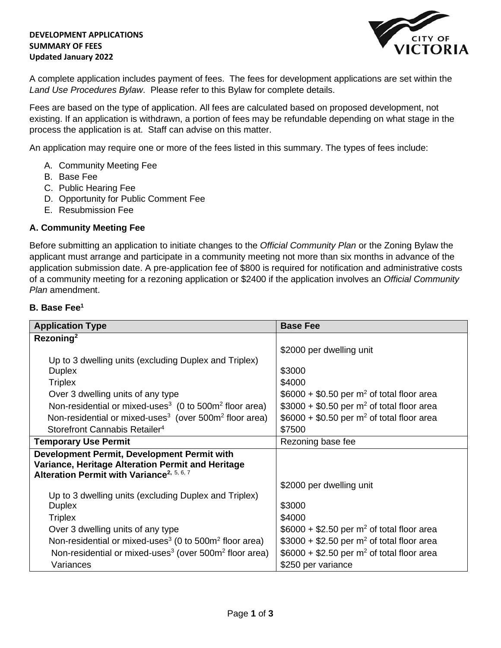### **DEVELOPMENT APPLICATIONS SUMMARY OF FEES Updated January 2022**



A complete application includes payment of fees. The fees for development applications are set within the *Land Use Procedures Bylaw*. Please refer to this Bylaw for complete details.

Fees are based on the type of application. All fees are calculated based on proposed development, not existing. If an application is withdrawn, a portion of fees may be refundable depending on what stage in the process the application is at. Staff can advise on this matter.

An application may require one or more of the fees listed in this summary. The types of fees include:

- A. Community Meeting Fee
- B. Base Fee
- C. Public Hearing Fee
- D. Opportunity for Public Comment Fee
- E. Resubmission Fee

# **A. Community Meeting Fee**

Before submitting an application to initiate changes to the *Official Community Plan* or the Zoning Bylaw the applicant must arrange and participate in a community meeting not more than six months in advance of the application submission date. A pre-application fee of \$800 is required for notification and administrative costs of a community meeting for a rezoning application or \$2400 if the application involves an *Official Community Plan* amendment.

## **B. Base Fee<sup>1</sup>**

| <b>Application Type</b>                                                                                    | <b>Base Fee</b>                                        |
|------------------------------------------------------------------------------------------------------------|--------------------------------------------------------|
| Rezoning <sup>2</sup>                                                                                      |                                                        |
|                                                                                                            | \$2000 per dwelling unit                               |
| Up to 3 dwelling units (excluding Duplex and Triplex)<br><b>Duplex</b>                                     | \$3000                                                 |
| <b>Triplex</b>                                                                                             | \$4000                                                 |
| Over 3 dwelling units of any type                                                                          | $$6000 + $0.50$ per m <sup>2</sup> of total floor area |
| Non-residential or mixed-uses <sup>3</sup> (0 to 500 $m2$ floor area)                                      | $$3000 + $0.50$ per m <sup>2</sup> of total floor area |
| Non-residential or mixed-uses <sup>3</sup> (over $500m^2$ floor area)                                      | $$6000 + $0.50$ per m <sup>2</sup> of total floor area |
| Storefront Cannabis Retailer <sup>4</sup>                                                                  | \$7500                                                 |
| <b>Temporary Use Permit</b>                                                                                | Rezoning base fee                                      |
| Development Permit, Development Permit with                                                                |                                                        |
| Variance, Heritage Alteration Permit and Heritage<br>Alteration Permit with Variance <sup>2, 5, 6, 7</sup> |                                                        |
|                                                                                                            | \$2000 per dwelling unit                               |
| Up to 3 dwelling units (excluding Duplex and Triplex)                                                      |                                                        |
| <b>Duplex</b>                                                                                              | \$3000                                                 |
| <b>Triplex</b>                                                                                             | \$4000                                                 |
| Over 3 dwelling units of any type                                                                          | $$6000 + $2.50$ per m <sup>2</sup> of total floor area |
| Non-residential or mixed-uses <sup>3</sup> (0 to 500 $m2$ floor area)                                      | $$3000 + $2.50$ per m <sup>2</sup> of total floor area |
| Non-residential or mixed-uses <sup>3</sup> (over 500m <sup>2</sup> floor area)                             | $$6000 + $2.50$ per m <sup>2</sup> of total floor area |
| Variances                                                                                                  | \$250 per variance                                     |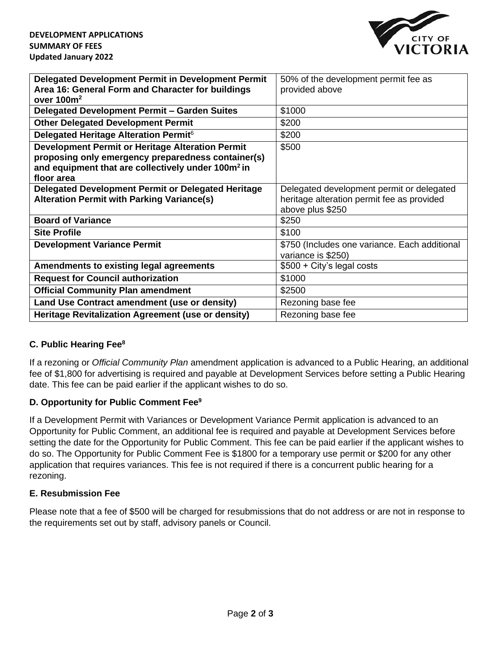

| Delegated Development Permit in Development Permit             | 50% of the development permit fee as          |
|----------------------------------------------------------------|-----------------------------------------------|
| Area 16: General Form and Character for buildings              | provided above                                |
| over $100m^2$                                                  |                                               |
| Delegated Development Permit - Garden Suites                   | \$1000                                        |
|                                                                |                                               |
| <b>Other Delegated Development Permit</b>                      | \$200                                         |
| Delegated Heritage Alteration Permit <sup>6</sup>              | \$200                                         |
| Development Permit or Heritage Alteration Permit               | \$500                                         |
| proposing only emergency preparedness container(s)             |                                               |
| and equipment that are collectively under 100m <sup>2</sup> in |                                               |
| floor area                                                     |                                               |
| Delegated Development Permit or Delegated Heritage             | Delegated development permit or delegated     |
| <b>Alteration Permit with Parking Variance(s)</b>              | heritage alteration permit fee as provided    |
|                                                                | above plus \$250                              |
| <b>Board of Variance</b>                                       | \$250                                         |
|                                                                |                                               |
| <b>Site Profile</b>                                            | \$100                                         |
| <b>Development Variance Permit</b>                             | \$750 (Includes one variance. Each additional |
|                                                                | variance is \$250)                            |
| <b>Amendments to existing legal agreements</b>                 | $$500 + City's legal costs$                   |
| <b>Request for Council authorization</b>                       | \$1000                                        |
| <b>Official Community Plan amendment</b>                       | \$2500                                        |
| Land Use Contract amendment (use or density)                   | Rezoning base fee                             |
| Heritage Revitalization Agreement (use or density)             | Rezoning base fee                             |

# **C. Public Hearing Fee<sup>8</sup>**

If a rezoning or *Official Community Plan* amendment application is advanced to a Public Hearing, an additional fee of \$1,800 for advertising is required and payable at Development Services before setting a Public Hearing date. This fee can be paid earlier if the applicant wishes to do so.

# **D. Opportunity for Public Comment Fee<sup>9</sup>**

If a Development Permit with Variances or Development Variance Permit application is advanced to an Opportunity for Public Comment, an additional fee is required and payable at Development Services before setting the date for the Opportunity for Public Comment. This fee can be paid earlier if the applicant wishes to do so. The Opportunity for Public Comment Fee is \$1800 for a temporary use permit or \$200 for any other application that requires variances. This fee is not required if there is a concurrent public hearing for a rezoning.

# **E. Resubmission Fee**

Please note that a fee of \$500 will be charged for resubmissions that do not address or are not in response to the requirements set out by staff, advisory panels or Council.